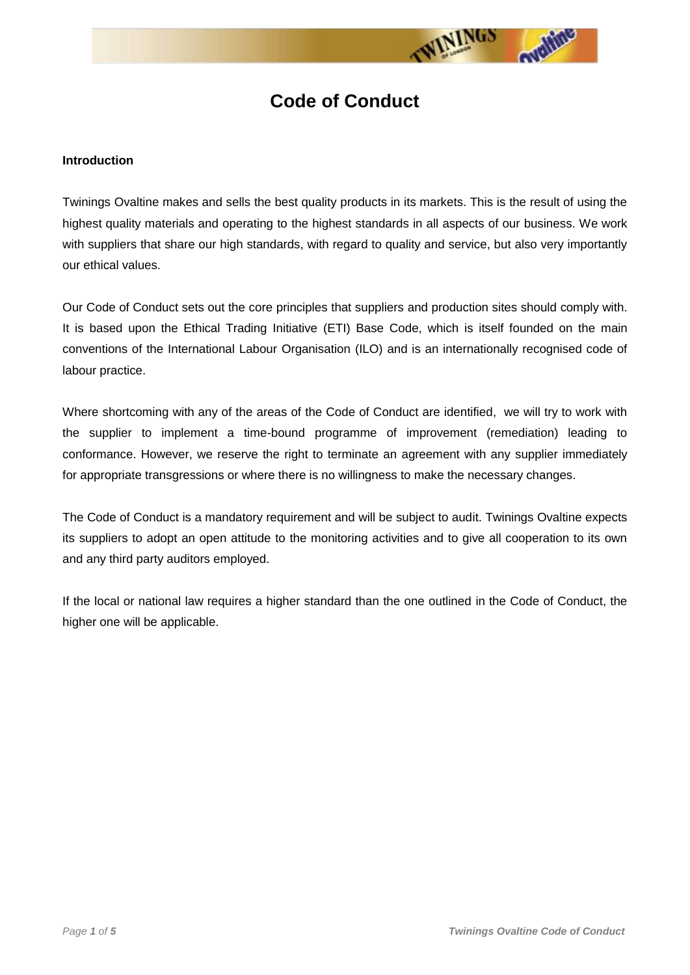

# **Code of Conduct**

#### **Introduction**

Twinings Ovaltine makes and sells the best quality products in its markets. This is the result of using the highest quality materials and operating to the highest standards in all aspects of our business. We work with suppliers that share our high standards, with regard to quality and service, but also very importantly our ethical values.

Our Code of Conduct sets out the core principles that suppliers and production sites should comply with. It is based upon the Ethical Trading Initiative (ETI) Base Code, which is itself founded on the main conventions of the International Labour Organisation (ILO) and is an internationally recognised code of labour practice.

Where shortcoming with any of the areas of the Code of Conduct are identified, we will try to work with the supplier to implement a time-bound programme of improvement (remediation) leading to conformance. However, we reserve the right to terminate an agreement with any supplier immediately for appropriate transgressions or where there is no willingness to make the necessary changes.

The Code of Conduct is a mandatory requirement and will be subject to audit. Twinings Ovaltine expects its suppliers to adopt an open attitude to the monitoring activities and to give all cooperation to its own and any third party auditors employed.

If the local or national law requires a higher standard than the one outlined in the Code of Conduct, the higher one will be applicable.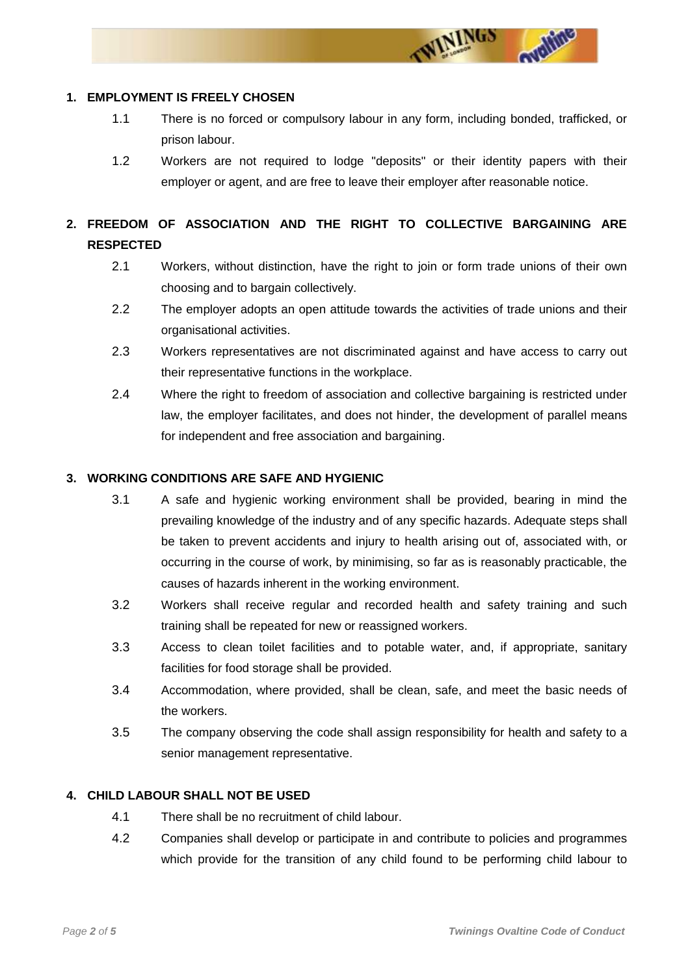

#### **1. EMPLOYMENT IS FREELY CHOSEN**

- 1.1 There is no forced or compulsory labour in any form, including bonded, trafficked, or prison labour.
- 1.2 Workers are not required to lodge "deposits" or their identity papers with their employer or agent, and are free to leave their employer after reasonable notice.

# **2. FREEDOM OF ASSOCIATION AND THE RIGHT TO COLLECTIVE BARGAINING ARE RESPECTED**

- 2.1 Workers, without distinction, have the right to join or form trade unions of their own choosing and to bargain collectively.
- 2.2 The employer adopts an open attitude towards the activities of trade unions and their organisational activities.
- 2.3 Workers representatives are not discriminated against and have access to carry out their representative functions in the workplace.
- 2.4 Where the right to freedom of association and collective bargaining is restricted under law, the employer facilitates, and does not hinder, the development of parallel means for independent and free association and bargaining.

# **3. WORKING CONDITIONS ARE SAFE AND HYGIENIC**

- 3.1 A safe and hygienic working environment shall be provided, bearing in mind the prevailing knowledge of the industry and of any specific hazards. Adequate steps shall be taken to prevent accidents and injury to health arising out of, associated with, or occurring in the course of work, by minimising, so far as is reasonably practicable, the causes of hazards inherent in the working environment.
- 3.2 Workers shall receive regular and recorded health and safety training and such training shall be repeated for new or reassigned workers.
- 3.3 Access to clean toilet facilities and to potable water, and, if appropriate, sanitary facilities for food storage shall be provided.
- 3.4 Accommodation, where provided, shall be clean, safe, and meet the basic needs of the workers.
- 3.5 The company observing the code shall assign responsibility for health and safety to a senior management representative.

# **4. CHILD LABOUR SHALL NOT BE USED**

- 4.1 There shall be no recruitment of child labour.
- 4.2 Companies shall develop or participate in and contribute to policies and programmes which provide for the transition of any child found to be performing child labour to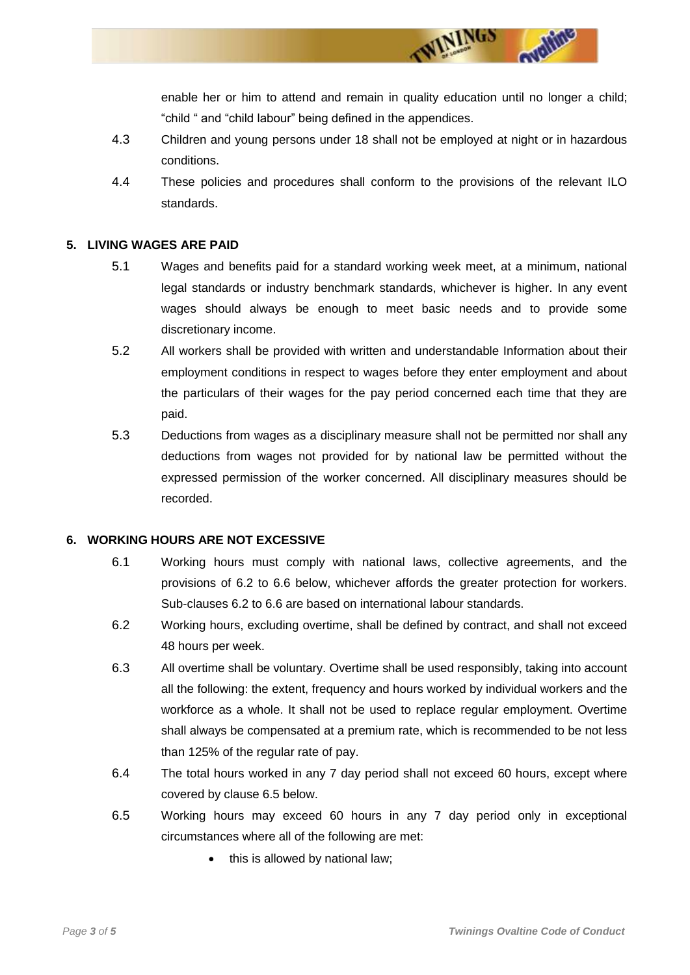enable her or him to attend and remain in quality education until no longer a child; "child " and "child labour" being defined in the appendices.

WININGS

- 4.3 Children and young persons under 18 shall not be employed at night or in hazardous conditions.
- 4.4 These policies and procedures shall conform to the provisions of the relevant ILO standards.

# **5. LIVING WAGES ARE PAID**

- 5.1 Wages and benefits paid for a standard working week meet, at a minimum, national legal standards or industry benchmark standards, whichever is higher. In any event wages should always be enough to meet basic needs and to provide some discretionary income.
- 5.2 All workers shall be provided with written and understandable Information about their employment conditions in respect to wages before they enter employment and about the particulars of their wages for the pay period concerned each time that they are paid.
- 5.3 Deductions from wages as a disciplinary measure shall not be permitted nor shall any deductions from wages not provided for by national law be permitted without the expressed permission of the worker concerned. All disciplinary measures should be recorded.

#### **6. WORKING HOURS ARE NOT EXCESSIVE**

- 6.1 Working hours must comply with national laws, collective agreements, and the provisions of 6.2 to 6.6 below, whichever affords the greater protection for workers. Sub-clauses 6.2 to 6.6 are based on international labour standards.
- 6.2 Working hours, excluding overtime, shall be defined by contract, and shall not exceed 48 hours per week.
- 6.3 All overtime shall be voluntary. Overtime shall be used responsibly, taking into account all the following: the extent, frequency and hours worked by individual workers and the workforce as a whole. It shall not be used to replace regular employment. Overtime shall always be compensated at a premium rate, which is recommended to be not less than 125% of the regular rate of pay.
- 6.4 The total hours worked in any 7 day period shall not exceed 60 hours, except where covered by clause 6.5 below.
- 6.5 Working hours may exceed 60 hours in any 7 day period only in exceptional circumstances where all of the following are met:
	- this is allowed by national law;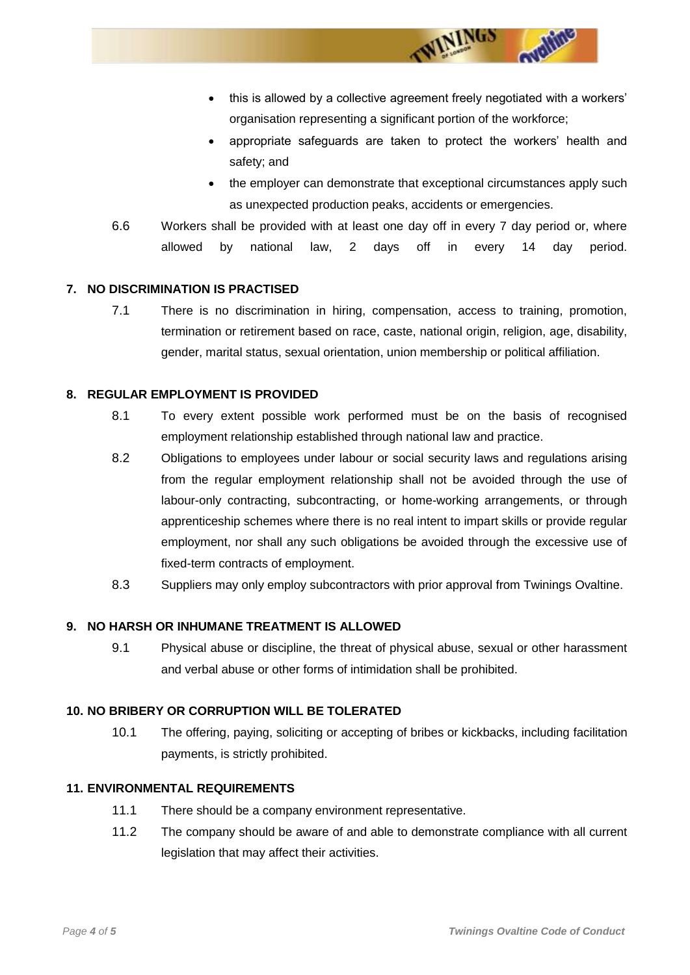this is allowed by a collective agreement freely negotiated with a workers' organisation representing a significant portion of the workforce;

WININGS

- appropriate safeguards are taken to protect the workers' health and safety; and
- the employer can demonstrate that exceptional circumstances apply such as unexpected production peaks, accidents or emergencies.
- 6.6 Workers shall be provided with at least one day off in every 7 day period or, where allowed by national law, 2 days off in every 14 day period.

#### **7. NO DISCRIMINATION IS PRACTISED**

7.1 There is no discrimination in hiring, compensation, access to training, promotion, termination or retirement based on race, caste, national origin, religion, age, disability, gender, marital status, sexual orientation, union membership or political affiliation.

# **8. REGULAR EMPLOYMENT IS PROVIDED**

- 8.1 To every extent possible work performed must be on the basis of recognised employment relationship established through national law and practice.
- 8.2 Obligations to employees under labour or social security laws and regulations arising from the regular employment relationship shall not be avoided through the use of labour-only contracting, subcontracting, or home-working arrangements, or through apprenticeship schemes where there is no real intent to impart skills or provide regular employment, nor shall any such obligations be avoided through the excessive use of fixed-term contracts of employment.
- 8.3 Suppliers may only employ subcontractors with prior approval from Twinings Ovaltine.

#### **9. NO HARSH OR INHUMANE TREATMENT IS ALLOWED**

9.1 Physical abuse or discipline, the threat of physical abuse, sexual or other harassment and verbal abuse or other forms of intimidation shall be prohibited.

#### **10. NO BRIBERY OR CORRUPTION WILL BE TOLERATED**

10.1 The offering, paying, soliciting or accepting of bribes or kickbacks, including facilitation payments, is strictly prohibited.

#### **11. ENVIRONMENTAL REQUIREMENTS**

- 11.1 There should be a company environment representative.
- 11.2 The company should be aware of and able to demonstrate compliance with all current legislation that may affect their activities.